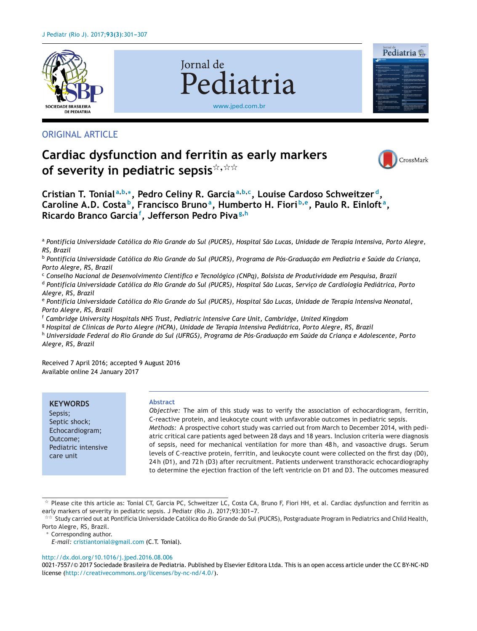

# ORIGINAL ARTICLE

# **Cardiac dysfunction and ferritin as early markers of severity in pediatric sepsis**-**,**--

Jornal de



Pediatria

Cristian T. Tonial<sup>a,b,\*</sup>, Pedro Celiny R. Garcia<sup>a,b,c</sup>, Louise Cardoso Schweitzer<sup>d</sup>, **Caroline A.D. Costa b, Francisco Brunoa, Humberto H. Fiori <sup>b</sup>,e, Paulo R. Einloft a, Ricardo Branco Garcia<sup>f</sup> , Jefferson Pedro Piva<sup>g</sup>,<sup>h</sup>**

a Pontifícia Universidade Católica do Rio Grande do Sul (PUCRS), Hospital São Lucas, Unidade de Terapia Intensiva, Porto Alegre, *RS, Brazil*

[www.jped.com.br](http://www.jped.com.br)

Pediatria

<sup>b</sup> Pontifícia Universidade Católica do Rio Grande do Sul (PUCRS), Programa de Pós-Graduação em Pediatria e Saúde da Criança, *Porto Alegre, RS, Brazil*

<sup>c</sup> *Conselho Nacional de Desenvolvimento Científico e Tecnológico (CNPq), Bolsista de Produtividade em Pesquisa, Brazil*

<sup>d</sup> Pontifícia Universidade Católica do Rio Grande do Sul (PUCRS), Hospital São Lucas, Servico de Cardiologia Pediátrica, Porto *Alegre, RS, Brazil*

e Pontifícia Universidade Católica do Rio Grande do Sul (PUCRS), Hospital São Lucas, Unidade de Terapia Intensiva Neonatal, *Porto Alegre, RS, Brazil*

<sup>f</sup> *Cambridge University Hospitals NHS Trust, Pediatric Intensive Care Unit, Cambridge, United Kingdom*

<sup>g</sup> *Hospital de Clínicas de Porto Alegre (HCPA), Unidade de Terapia Intensiva Pediátrica, Porto Alegre, RS, Brazil*

h Universidade Federal do Rio Grande do Sul (UFRGS), Programa de Pós-Graduação em Saúde da Criança e Adolescente, Porto *Alegre, RS, Brazil*

Received 7 April 2016; accepted 9 August 2016 Available online 24 January 2017

**KEYWORDS** Sepsis; Septic shock; Echocardiogram; Outcome; Pediatric intensive care unit

#### **Abstract**

*Objective:* The aim of this study was to verify the association of echocardiogram, ferritin, C-reactive protein, and leukocyte count with unfavorable outcomes in pediatric sepsis. *Methods:* A prospective cohort study was carried out from March to December 2014, with pediatric critical care patients aged between 28 days and 18 years. Inclusion criteria were diagnosis of sepsis, need for mechanical ventilation for more than 48 h, and vasoactive drugs. Serum levels of C-reactive protein, ferritin, and leukocyte count were collected on the first day (D0), 24 h (D1), and 72 h (D3) after recruitment. Patients underwent transthoracic echocardiography to determine the ejection fraction of the left ventricle on D1 and D3. The outcomes measured

∗ Corresponding author.

#### [http://dx.doi.org/10.1016/j.jped.2016.08.006](dx.doi.org/10.1016/j.jped.2016.08.006)

0021-7557/© 2017 Sociedade Brasileira de Pediatria. Published by Elsevier Editora Ltda. This is an open access article under the CC BY-NC-ND license (<http://creativecommons.org/licenses/by-nc-nd/4.0/>).

 $^{\star}$  Please cite this article as: Tonial CT, Garcia PC, Schweitzer LC, Costa CA, Bruno F, Fiori HH, et al. Cardiac dysfunction and ferritin as early markers of severity in pediatric sepsis. J Pediatr (Rio J). 2017;93:301-7.

<sup>-</sup>- Study carried out at Pontifícia Universidade Católica do Rio Grande do Sul (PUCRS), Postgraduate Program in Pediatrics and Child Health, Porto Alegre, RS, Brazil.

*E-mail:* [cristiantonial@gmail.com](mailto:cristiantonial@gmail.com) (C.T. Tonial).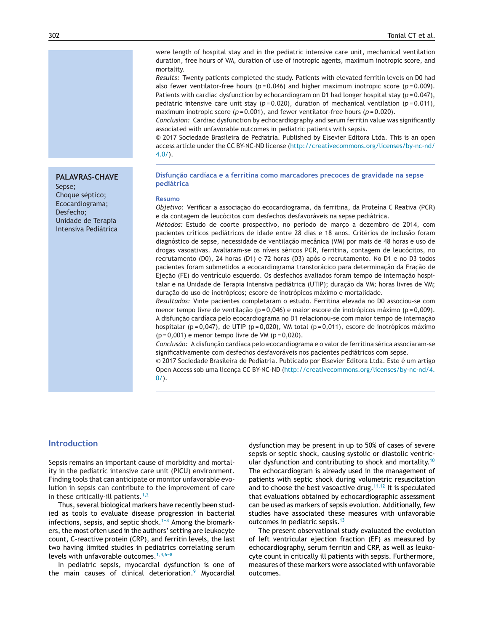were length of hospital stay and in the pediatric intensive care unit, mechanical ventilation duration, free hours of VM, duration of use of inotropic agents, maximum inotropic score, and mortality.

*Results:* Twenty patients completed the study. Patients with elevated ferritin levels on D0 had also fewer ventilator-free hours (*p* = 0.046) and higher maximum inotropic score (*p* = 0.009). Patients with cardiac dysfunction by echocardiogram on D1 had longer hospital stay ( $p = 0.047$ ), pediatric intensive care unit stay  $(p=0.020)$ , duration of mechanical ventilation  $(p=0.011)$ , maximum inotropic score (*p* = 0.001), and fewer ventilator-free hours (*p* = 0.020).

*Conclusion:* Cardiac dysfunction by echocardiography and serum ferritin value was significantly associated with unfavorable outcomes in pediatric patients with sepsis.

© 2017 Sociedade Brasileira de Pediatria. Published by Elsevier Editora Ltda. This is an open access article under the CC BY-NC-ND license [\(http://creativecommons.org/licenses/by-nc-nd/](http://creativecommons.org/licenses/by-nc-nd/4.0/) [4.0/\)](http://creativecommons.org/licenses/by-nc-nd/4.0/).

#### **PALAVRAS-CHAVE**

Sepse; Choque séptico; Ecocardiograma; Desfecho; Unidade de Terapia Intensiva Pediátrica

#### **Disfunc¸ão cardíaca e a ferritina como marcadores precoces de gravidade na sepse pediátrica**

#### **Resumo**

*Objetivo: Verificar a associação do ecocardiograma, da ferritina, da Proteína C Reativa (PCR)* e da contagem de leucócitos com desfechos desfavoráveis na sepse pediátrica.

*Métodos:* Estudo de coorte prospectivo, no período de março a dezembro de 2014, com pacientes críticos pediátricos de idade entre 28 dias e 18 anos. Critérios de inclusão foram diagnóstico de sepse, necessidade de ventilação mecânica (VM) por mais de 48 horas e uso de drogas vasoativas. Avaliaram-se os níveis séricos PCR, ferritina, contagem de leucócitos, no recrutamento (D0), 24 horas (D1) e 72 horas (D3) após o recrutamento. No D1 e no D3 todos pacientes foram submetidos a ecocardiograma transtorácico para determinação da Fração de Ejecão (FE) do ventrículo esquerdo. Os desfechos avaliados foram tempo de internação hospitalar e na Unidade de Terapia Intensiva pediátrica (UTIP); duração da VM; horas livres de VM; duração do uso de inotrópicos; escore de inotrópicos máximo e mortalidade.

*Resultados:* Vinte pacientes completaram o estudo. Ferritina elevada no D0 associou-se com menor tempo livre de ventilação ( $p = 0.046$ ) e maior escore de inotrópicos máximo ( $p = 0.009$ ). A disfunção cardíaca pelo ecocardiograma no D1 relacionou-se com maior tempo de internação hospitalar (p = 0,047), de UTIP (p = 0,020), VM total (p = 0,011), escore de inotrópicos máximo  $(p = 0,001)$  e menor tempo livre de VM  $(p = 0,020)$ .

*Conclusão:* A disfunc¸ão cardíaca pelo ecocardiograma e o valor de ferritina sérica associaram-se significativamente com desfechos desfavoráveis nos pacientes pediátricos com sepse.

© 2017 Sociedade Brasileira de Pediatria. Publicado por Elsevier Editora Ltda. Este é um artigo Open Access sob uma licença CC BY-NC-ND ([http://creativecommons.org/licenses/by-nc-nd/4.](http://creativecommons.org/licenses/by-nc-nd/4.0/)  $0/$ ).

### **Introduction**

Sepsis remains an important cause of morbidity and mortality in the pediatric intensive care unit (PICU) environment. Finding tools that can anticipate or monitor unfavorable evolution in sepsis can contribute to the improvement of care in these critically-ill patients. $1,2$ 

Thus, several biological markers have recently been studied as tools to evaluate disease progression in bacterial infections, sepsis, and septic shock.<sup>1-8</sup> Among the biomarkers, the most often used in the authors' setting are leukocyte count, C-reactive protein (CRP), and ferritin levels, the last two having limited studies in pediatrics correlating serum levels with unfavorable outcomes. $1,4,6-8$ 

In pediatric sepsis, myocardial dysfunction is one of the main causes of clinical deterioration.<sup>[9](#page-5-0)</sup> Myocardial

dysfunction may be present in up to 50% of cases of severe sepsis or septic shock, causing systolic or diastolic ventric-ular dysfunction and contributing to shock and mortality.<sup>[10](#page-5-0)</sup> The echocardiogram is already used in the management of patients with septic shock during volumetric resuscitation and to choose the best vasoactive drug.<sup>[11,12](#page-5-0)</sup> It is speculated that evaluations obtained by echocardiographic assessment can be used as markers of sepsis evolution. Additionally, few studies have associated these measures with unfavorable outcomes in pediatric sepsis.<sup>[13](#page-5-0)</sup>

The present observational study evaluated the evolution of left ventricular ejection fraction (EF) as measured by echocardiography, serum ferritin and CRP, as well as leukocyte count in critically ill patients with sepsis. Furthermore, measures of these markers were associated with unfavorable outcomes.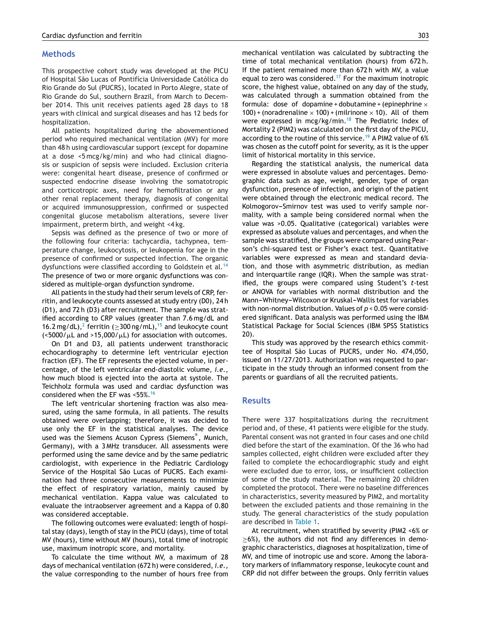### **Methods**

This prospective cohort study was developed at the PICU of Hospital São Lucas of Pontifícia Universidade Católica do Rio Grande do Sul (PUCRS), located in Porto Alegre, state of Rio Grande do Sul, southern Brazil, from March to December 2014. This unit receives patients aged 28 days to 18 years with clinical and surgical diseases and has 12 beds for hospitalization.

All patients hospitalized during the abovementioned period who required mechanical ventilation (MV) for more than 48 h using cardiovascular support (except for dopamine at a dose <5 mcg/kg/min) and who had clinical diagnosis or suspicion of sepsis were included. Exclusion criteria were: congenital heart disease, presence of confirmed or suspected endocrine disease involving the somatotropic and corticotropic axes, need for hemofiltration or any other renal replacement therapy, diagnosis of congenital or acquired immunosuppression, confirmed or suspected congenital glucose metabolism alterations, severe liver impairment, preterm birth, and weight <4 kg.

Sepsis was defined as the presence of two or more of the following four criteria: tachycardia, tachypnea, temperature change, leukocytosis, or leukopenia for age in the presence of confirmed or suspected infection. The organic dysfunctions were classified according to Goldstein et al.<sup>[14](#page-5-0)</sup> The presence of two or more organic dysfunctions was considered as multiple-organ dysfunction syndrome.

All patients in the study had their serum levels of CRP, ferritin, and leukocyte counts assessed at study entry (D0), 24 h (D1), and 72 h (D3) after recruitment. The sample was stratified according to CRP values (greater than 7.6 mg/dL and 16.[2](#page-5-0) mg/dL),<sup>2</sup> ferritin ( $\geq$ 300 ng/mL),<sup>[15](#page-5-0)</sup> and leukocyte count  $\langle$  <5000/ $\mu$ L and >15,000/ $\mu$ L) for association with outcomes.

On D1 and D3, all patients underwent transthoracic echocardiography to determine left ventricular ejection fraction (EF). The EF represents the ejected volume, in percentage, of the left ventricular end-diastolic volume, *i.e.*, how much blood is ejected into the aorta at systole. The Teichholz formula was used and cardiac dysfunction was considered when the EF was <55%.[16](#page-5-0)

The left ventricular shortening fraction was also measured, using the same formula, in all patients. The results obtained were overlapping; therefore, it was decided to use only the EF in the statistical analyses. The device used was the Siemens Acuson Cypress (Siemens® , Munich, Germany), with a 3 MHz transducer. All assessments were performed using the same device and by the same pediatric cardiologist, with experience in the Pediatric Cardiology Service of the Hospital São Lucas of PUCRS. Each examination had three consecutive measurements to minimize the effect of respiratory variation, mainly caused by mechanical ventilation. Kappa value was calculated to evaluate the intraobserver agreement and a Kappa of 0.80 was considered acceptable.

The following outcomes were evaluated: length of hospital stay (days), length of stay in the PICU (days), time of total MV (hours), time without MV (hours), total time of inotropic use, maximum inotropic score, and mortality.

To calculate the time without MV, a maximum of 28 days of mechanical ventilation (672 h) were considered, *i.e.*, the value corresponding to the number of hours free from mechanical ventilation was calculated by subtracting the time of total mechanical ventilation (hours) from 672 h. If the patient remained more than 672 h with MV, a value equal to zero was considered.<sup>[17](#page-5-0)</sup> For the maximum inotropic score, the highest value, obtained on any day of the study, was calculated through a summation obtained from the formula: dose of dopamine + dobutamine + (epinephrine  $\times$ 100) + (noradrenaline  $\times$  100) + (milrinone  $\times$  10). All of them were expressed in mcg/kg/min.<sup>[18](#page-5-0)</sup> The Pediatric Index of Mortality 2 (PIM2) was calculated on the first day of the PICU, according to the routine of this service.<sup>[19](#page-5-0)</sup> A PIM2 value of 6% was chosen as the cutoff point for severity, as it is the upper limit of historical mortality in this service.

Regarding the statistical analysis, the numerical data were expressed in absolute values and percentages. Demographic data such as age, weight, gender, type of organ dysfunction, presence of infection, and origin of the patient were obtained through the electronic medical record. The Kolmogorov-Smirnov test was used to verify sample normality, with a sample being considered normal when the value was >0.05. Qualitative (categorical) variables were expressed as absolute values and percentages, and when the sample was stratified, the groups were compared using Pearson's chi-squared test or Fisher's exact test. Quantitative variables were expressed as mean and standard deviation, and those with asymmetric distribution, as median and interquartile range (IQR). When the sample was stratified, the groups were compared using Student's *t*-test or ANOVA for variables with normal distribution and the Mann-Whitney-Wilcoxon or Kruskal-Wallis test for variables with non-normal distribution. Values of *p* < 0.05 were considered significant. Data analysis was performed using the IBM Statistical Package for Social Sciences (IBM SPSS Statistics 20).

This study was approved by the research ethics committee of Hospital São Lucas of PUCRS, under No. 474,050, issued on 11/27/2013. Authorization was requested to participate in the study through an informed consent from the parents or guardians of all the recruited patients.

#### **Results**

There were 337 hospitalizations during the recruitment period and, of these, 41 patients were eligible for the study. Parental consent was not granted in four cases and one child died before the start of the examination. Of the 36 who had samples collected, eight children were excluded after they failed to complete the echocardiographic study and eight were excluded due to error, loss, or insufficient collection of some of the study material. The remaining 20 children completed the protocol. There were no baseline differences in characteristics, severity measured by PIM2, and mortality between the excluded patients and those remaining in the study. The general characteristics of the study population are described in [Table](#page-3-0) 1.

At recruitment, when stratified by severity (PIM2 <6% or  $>6\%$ ), the authors did not find any differences in demographic characteristics, diagnoses at hospitalization, time of MV, and time of inotropic use and score. Among the laboratory markers of inflammatory response, leukocyte count and CRP did not differ between the groups. Only ferritin values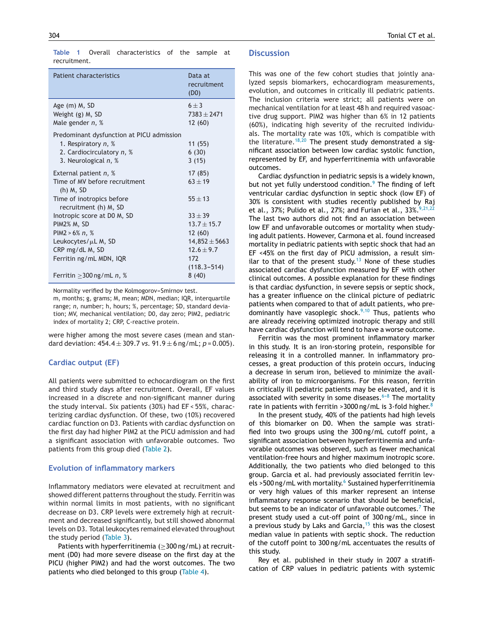<span id="page-3-0"></span>**Table 1** Overall characteristics of the sample at recruitment.

| Patient characteristics                                                                                                 | Data at<br>recruitment<br>(D0)      |
|-------------------------------------------------------------------------------------------------------------------------|-------------------------------------|
| Age (m) M, SD<br>Weight (g) M, SD<br>Male gender $n, %$                                                                 | $6 + 3$<br>$7383 + 2471$<br>12 (60) |
| Predominant dysfunction at PICU admission<br>1. Respiratory $n, %$<br>2. Cardiocirculatory n, %<br>3. Neurological n, % | 11(55)<br>6(30)<br>3(15)            |
| External patient $n, %$<br>Time of MV before recruitment<br>$(h)$ M, SD                                                 | 17 (85)<br>$63 + 19$                |
| Time of inotropics before<br>recruitment (h) M, SD                                                                      | $55 + 13$                           |
| Inotropic score at DO M, SD                                                                                             | $33 + 39$                           |
| PIM2% M, SD<br>PIM2 > $6\%$ n, $\%$                                                                                     | $13.7 \pm 15.7$<br>12(60)           |
| Leukocytes/µL M, SD                                                                                                     | $14,852 \pm 5663$                   |
| CRP mg/dL M, SD                                                                                                         | $12.6 \pm 9.7$                      |
| Ferritin ng/mL MDN, IQR                                                                                                 | 172<br>$(118.3 - 514)$              |
| Ferritin $>$ 300 ng/mL n, %                                                                                             | 8(40)                               |

Normality verified by the Kolmogorov-Smirnov test.

m, months; g, grams; M, mean; MDN, median; IQR, interquartile range; *n*, number; h, hours; %, percentage; SD, standard deviation; MV, mechanical ventilation; D0, day zero; PIM2, pediatric index of mortality 2; CRP, C-reactive protein.

were higher among the most severe cases (mean and standard deviation:  $454.4 \pm 309.7$  *vs.*  $91.9 \pm 6$  ng/mL;  $p = 0.005$ ).

#### **Cardiac output (EF)**

All patients were submitted to echocardiogram on the first and third study days after recruitment. Overall, EF values increased in a discrete and non-significant manner during the study interval. Six patients (30%) had EF < 55%, characterizing cardiac dysfunction. Of these, two (10%) recovered cardiac function on D3. Patients with cardiac dysfunction on the first day had higher PIM2 at the PICU admission and had a significant association with unfavorable outcomes. Two patients from this group died [\(Table](#page-4-0) 2).

#### **Evolution of inflammatory markers**

Inflammatory mediators were elevated at recruitment and showed different patterns throughout the study. Ferritin was within normal limits in most patients, with no significant decrease on D3. CRP levels were extremely high at recruitment and decreased significantly, but still showed abnormal levels on D3. Total leukocytes remained elevated throughout the study period ([Table](#page-4-0) 3).

Patients with hyperferritinemia ( $\geq$ 300 ng/mL) at recruitment (D0) had more severe disease on the first day at the PICU (higher PIM2) and had the worst outcomes. The two patients who died belonged to this group ([Table](#page-4-0) 4).

#### **Discussion**

This was one of the few cohort studies that jointly analyzed sepsis biomarkers, echocardiogram measurements, evolution, and outcomes in critically ill pediatric patients. The inclusion criteria were strict; all patients were on mechanical ventilation for at least 48 h and required vasoactive drug support. PIM2 was higher than 6% in 12 patients (60%), indicating high severity of the recruited individuals. The mortality rate was 10%, which is compatible with the literature.<sup>[18,20](#page-5-0)</sup> The present study demonstrated a significant association between low cardiac systolic function, represented by EF, and hyperferritinemia with unfavorable outcomes.

Cardiac dysfunction in pediatric sepsis is a widely known, but not yet fully understood condition. $9$  The finding of left ventricular cardiac dysfunction in septic shock (low EF) of 30% is consistent with studies recently published by Raj et al., 37%; Pulido et al., 27%; and Furian et al.,  $33\frac{9}{21}$ ,  $22\frac{1}{22}$ The last two authors did not find an association between low EF and unfavorable outcomes or mortality when studying adult patients. However, Carmona et al. found increased mortality in pediatric patients with septic shock that had an EF <45% on the first day of PICU admission, a result sim-ilar to that of the present study.<sup>[13](#page-5-0)</sup> None of these studies associated cardiac dysfunction measured by EF with other clinical outcomes. A possible explanation for these findings is that cardiac dysfunction, in severe sepsis or septic shock, has a greater influence on the clinical picture of pediatric patients when compared to that of adult patients, who pre-dominantly have vasoplegic shock.<sup>[9,10](#page-5-0)</sup> Thus, patients who are already receiving optimized inotropic therapy and still have cardiac dysfunction will tend to have a worse outcome.

Ferritin was the most prominent inflammatory marker in this study. It is an iron-storing protein, responsible for releasing it in a controlled manner. In inflammatory processes, a great production of this protein occurs, inducing a decrease in serum iron, believed to minimize the availability of iron to microorganisms. For this reason, ferritin in critically ill pediatric patients may be elevated, and it is associated with severity in some diseases.<sup> $6-8$ </sup> The mortality rate in patients with ferritin > 3000 ng/mL is 3-fold higher. $8$ 

In the present study, 40% of the patients had high levels of this biomarker on D0. When the sample was stratified into two groups using the 300 ng/mL cutoff point, a significant association between hyperferritinemia and unfavorable outcomes was observed, such as fewer mechanical ventilation-free hours and higher maximum inotropic score. Additionally, the two patients who died belonged to this group. Garcia et al. had previously associated ferritin lev-els >500 ng/mL with mortality.<sup>6</sup> [S](#page-5-0)ustained hyperferritinemia or very high values of this marker represent an intense inflammatory response scenario that should be beneficial, but seems to be an indicator of unfavorable outcomes.<sup>7</sup> [T](#page-5-0)he present study used a cut-off point of 300 ng/mL, since in a previous study by Laks and Garcia, $15$  this was the closest median value in patients with septic shock. The reduction of the cutoff point to 300 ng/mL accentuates the results of this study.

Rey et al. published in their study in 2007 a stratification of CRP values in pediatric patients with systemic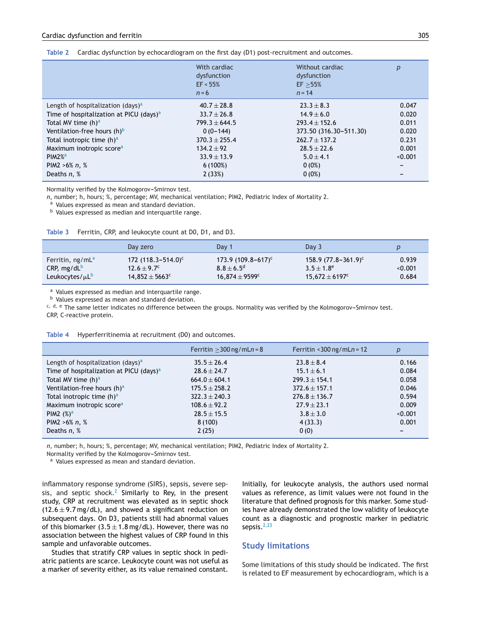<span id="page-4-0"></span>

|  |  | Table 2 Cardiac dysfunction by echocardiogram on the first day (D1) post-recruitment and outcomes. |
|--|--|----------------------------------------------------------------------------------------------------|
|  |  |                                                                                                    |

|                                                     | With cardiac<br>dysfunction<br>EF < 55%<br>$n = 6$ | Without cardiac<br>dysfunction<br>EF > 55%<br>$n = 14$ | p       |
|-----------------------------------------------------|----------------------------------------------------|--------------------------------------------------------|---------|
| Length of hospitalization (days) <sup>a</sup>       | $40.7 \pm 28.8$                                    | $23.3 \pm 8.3$                                         | 0.047   |
| Time of hospitalization at PICU (days) <sup>a</sup> | $33.7 \pm 26.8$                                    | $14.9 \pm 6.0$                                         | 0.020   |
| Total MV time (h) <sup>a</sup>                      | $799.3 \pm 644.5$                                  | $293.4 \pm 152.6$                                      | 0.011   |
| Ventilation-free hours $(h)^b$                      | $0(0-144)$                                         | 373.50 (316.30-511.30)                                 | 0.020   |
| Total inotropic time $(h)^a$                        | $370.3 \pm 255.4$                                  | $262.7 \pm 137.2$                                      | 0.231   |
| Maximum inotropic score <sup>a</sup>                | $134.2 \pm 92$                                     | $28.5 + 22.6$                                          | 0.001   |
| $PIM2\%$ <sup>a</sup>                               | $33.9 \pm 13.9$                                    | $5.0 \pm 4.1$                                          | < 0.001 |
| PIM2 $>6\%$ n, $\%$                                 | $6(100\%)$                                         | $0(0\%)$                                               |         |
| Deaths n, %                                         | 2(33%)                                             | $0(0\%)$                                               |         |

Normality verified by the Kolmogorov-Smirnov test.

*n*, number; h, hours; %, percentage; MV, mechanical ventilation; PIM2, Pediatric Index of Mortality 2.

a Values expressed as mean and standard deviation.

b Values expressed as median and interquartile range.

|                                   | Day zero                       | Day 1                 | Day 3                     |         |
|-----------------------------------|--------------------------------|-----------------------|---------------------------|---------|
| Ferritin, ng/mL <sup>a</sup>      | 172 $(118.3 - 514.0)^c$        | $173.9(109.8-617)^c$  | $158.9 (77.8 - 361.9)^c$  | 0.939   |
| CRP, $mg/dL^b$                    | $12.6 + 9.7^{\circ}$           | $8.8 \pm 6.5^{\circ}$ | $3.5 + 1.8^e$             | < 0.001 |
| Leukocytes/ $\mu$ L $^{\text{b}}$ | $14.852 \pm 5663$ <sup>c</sup> | $16.874 \pm 9599^c$   | $15,672 \pm 6197^{\circ}$ | 0.684   |

a Values expressed as median and interquartile range.

<sup>b</sup> Values expressed as mean and standard deviation.

 $c, d, e$  The same letter indicates no difference between the groups. Normality was verified by the Kolmogorov-Smirnov test.

CRP, C-reactive protein.

|                                                     | Ferritin $>$ 300 ng/mLn = 8 | Ferritin < $300$ ng/mLn = 12 | p       |
|-----------------------------------------------------|-----------------------------|------------------------------|---------|
| Length of hospitalization (days) <sup>a</sup>       | $35.5 \pm 26.4$             | $23.8 \pm 8.4$               | 0.166   |
| Time of hospitalization at PICU (days) <sup>a</sup> | $28.6 \pm 24.7$             | $15.1 \pm 6.1$               | 0.084   |
| Total MV time $(h)^a$                               | $664.0 \pm 604.1$           | $299.3 \pm 154.1$            | 0.058   |
| Ventilation-free hours (h) <sup>a</sup>             | $175.5 \pm 258.2$           | $372.6 \pm 157.1$            | 0.046   |
| Total inotropic time (h) <sup>a</sup>               | $322.3 \pm 240.3$           | $276.8 \pm 136.7$            | 0.594   |
| Maximum inotropic score <sup>a</sup>                | $108.6 \pm 92.2$            | $27.9 \pm 23.1$              | 0.009   |
| PIM2 $(\%)^a$                                       | $28.5 \pm 15.5$             | $3.8 \pm 3.0$                | < 0.001 |
| PIM2 $>6\%$ n, $\%$                                 | 8(100)                      | 4(33.3)                      | 0.001   |
| Deaths $n, %$                                       | 2(25)                       | 0(0)                         |         |

**Table 4** Hyperferritinemia at recruitment (D0) and outcomes.

*n*, number; h, hours; %, percentage; MV, mechanical ventilation; PIM2, Pediatric Index of Mortality 2.

Normality verified by the Kolmogorov-Smirnov test.

a Values expressed as mean and standard deviation.

inflammatory response syndrome (SIRS), sepsis, severe sepsis, and septic shock. $2$  Similarly to Rey, in the present study, CRP at recruitment was elevated as in septic shock  $(12.6 \pm 9.7 \,\text{mg/dL})$ , and showed a significant reduction on subsequent days. On D3, patients still had abnormal values of this biomarker  $(3.5 \pm 1.8 \,\text{mg/dL})$ . However, there was no association between the highest values of CRP found in this sample and unfavorable outcomes.

Studies that stratify CRP values in septic shock in pediatric patients are scarce. Leukocyte count was not useful as a marker of severity either, as its value remained constant.

Initially, for leukocyte analysis, the authors used normal values as reference, as limit values were not found in the literature that defined prognosis for this marker. Some studies have already demonstrated the low validity of leukocyte count as a diagnostic and prognostic marker in pediatric sepsis.<sup>[2,23](#page-5-0)</sup>

#### **Study limitations**

Some limitations of this study should be indicated. The first is related to EF measurement by echocardiogram, which is a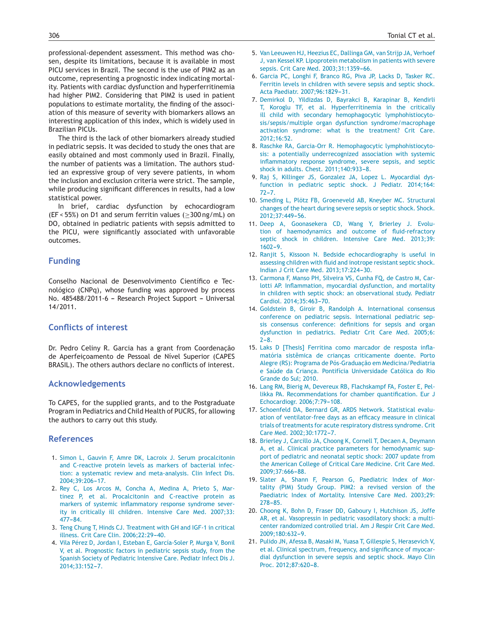<span id="page-5-0"></span>professional-dependent assessment. This method was chosen, despite its limitations, because it is available in most PICU services in Brazil. The second is the use of PIM2 as an outcome, representing a prognostic index indicating mortality. Patients with cardiac dysfunction and hyperferritinemia had higher PIM2. Considering that PIM2 is used in patient populations to estimate mortality, the finding of the association of this measure of severity with biomarkers allows an interesting application of this index, which is widely used in Brazilian PICUs.

The third is the lack of other biomarkers already studied in pediatric sepsis. It was decided to study the ones that are easily obtained and most commonly used in Brazil. Finally, the number of patients was a limitation. The authors studied an expressive group of very severe patients, in whom the inclusion and exclusion criteria were strict. The sample, while producing significant differences in results, had a low statistical power.

In brief, cardiac dysfunction by echocardiogram (EF < 55%) on D1 and serum ferritin values (≥300 ng/mL) on DO, obtained in pediatric patients with sepsis admitted to the PICU, were significantly associated with unfavorable outcomes.

#### **Funding**

Conselho Nacional de Desenvolvimento Científico e Tecnológico (CNPq), whose funding was approved by process No. 485488/2011-6 - Research Project Support - Universal 14/2011.

## **Conflicts of interest**

Dr. Pedro Celiny R. Garcia has a grant from Coordenação de Aperfeicoamento de Pessoal de Nível Superior (CAPES BRASIL). The others authors declare no conflicts of interest.

#### **Acknowledgements**

To CAPES, for the supplied grants, and to the Postgraduate Program in Pediatrics and Child Health of PUCRS, for allowing the authors to carry out this study.

#### **References**

- 1. [Simon](http://refhub.elsevier.com/S0021-7557(17)30032-3/sbref0120) [L,](http://refhub.elsevier.com/S0021-7557(17)30032-3/sbref0120) [Gauvin](http://refhub.elsevier.com/S0021-7557(17)30032-3/sbref0120) [F,](http://refhub.elsevier.com/S0021-7557(17)30032-3/sbref0120) [Amre](http://refhub.elsevier.com/S0021-7557(17)30032-3/sbref0120) [DK,](http://refhub.elsevier.com/S0021-7557(17)30032-3/sbref0120) [Lacroix](http://refhub.elsevier.com/S0021-7557(17)30032-3/sbref0120) [J.](http://refhub.elsevier.com/S0021-7557(17)30032-3/sbref0120) [Serum](http://refhub.elsevier.com/S0021-7557(17)30032-3/sbref0120) [procalcitonin](http://refhub.elsevier.com/S0021-7557(17)30032-3/sbref0120) [and](http://refhub.elsevier.com/S0021-7557(17)30032-3/sbref0120) [C-reactive](http://refhub.elsevier.com/S0021-7557(17)30032-3/sbref0120) [protein](http://refhub.elsevier.com/S0021-7557(17)30032-3/sbref0120) [levels](http://refhub.elsevier.com/S0021-7557(17)30032-3/sbref0120) [as](http://refhub.elsevier.com/S0021-7557(17)30032-3/sbref0120) [markers](http://refhub.elsevier.com/S0021-7557(17)30032-3/sbref0120) [of](http://refhub.elsevier.com/S0021-7557(17)30032-3/sbref0120) [bacterial](http://refhub.elsevier.com/S0021-7557(17)30032-3/sbref0120) [infec](http://refhub.elsevier.com/S0021-7557(17)30032-3/sbref0120)[tion:](http://refhub.elsevier.com/S0021-7557(17)30032-3/sbref0120) [a](http://refhub.elsevier.com/S0021-7557(17)30032-3/sbref0120) [systematic](http://refhub.elsevier.com/S0021-7557(17)30032-3/sbref0120) [review](http://refhub.elsevier.com/S0021-7557(17)30032-3/sbref0120) [and](http://refhub.elsevier.com/S0021-7557(17)30032-3/sbref0120) [meta-analysis.](http://refhub.elsevier.com/S0021-7557(17)30032-3/sbref0120) [Clin](http://refhub.elsevier.com/S0021-7557(17)30032-3/sbref0120) [Infect](http://refhub.elsevier.com/S0021-7557(17)30032-3/sbref0120) [Dis.](http://refhub.elsevier.com/S0021-7557(17)30032-3/sbref0120) 2004:39:206-17.
- 2. [Rey](http://refhub.elsevier.com/S0021-7557(17)30032-3/sbref0125) [C,](http://refhub.elsevier.com/S0021-7557(17)30032-3/sbref0125) [Los](http://refhub.elsevier.com/S0021-7557(17)30032-3/sbref0125) [Arcos](http://refhub.elsevier.com/S0021-7557(17)30032-3/sbref0125) [M,](http://refhub.elsevier.com/S0021-7557(17)30032-3/sbref0125) [Concha](http://refhub.elsevier.com/S0021-7557(17)30032-3/sbref0125) [A,](http://refhub.elsevier.com/S0021-7557(17)30032-3/sbref0125) [Medina](http://refhub.elsevier.com/S0021-7557(17)30032-3/sbref0125) [A,](http://refhub.elsevier.com/S0021-7557(17)30032-3/sbref0125) [Prieto](http://refhub.elsevier.com/S0021-7557(17)30032-3/sbref0125) [S,](http://refhub.elsevier.com/S0021-7557(17)30032-3/sbref0125) [Mar](http://refhub.elsevier.com/S0021-7557(17)30032-3/sbref0125)[tinez](http://refhub.elsevier.com/S0021-7557(17)30032-3/sbref0125) [P,](http://refhub.elsevier.com/S0021-7557(17)30032-3/sbref0125) [et](http://refhub.elsevier.com/S0021-7557(17)30032-3/sbref0125) [al.](http://refhub.elsevier.com/S0021-7557(17)30032-3/sbref0125) [Procalcitonin](http://refhub.elsevier.com/S0021-7557(17)30032-3/sbref0125) [and](http://refhub.elsevier.com/S0021-7557(17)30032-3/sbref0125) [C-reactive](http://refhub.elsevier.com/S0021-7557(17)30032-3/sbref0125) [protein](http://refhub.elsevier.com/S0021-7557(17)30032-3/sbref0125) [as](http://refhub.elsevier.com/S0021-7557(17)30032-3/sbref0125) [markers](http://refhub.elsevier.com/S0021-7557(17)30032-3/sbref0125) [of](http://refhub.elsevier.com/S0021-7557(17)30032-3/sbref0125) [systemic](http://refhub.elsevier.com/S0021-7557(17)30032-3/sbref0125) [inflammatory](http://refhub.elsevier.com/S0021-7557(17)30032-3/sbref0125) [response](http://refhub.elsevier.com/S0021-7557(17)30032-3/sbref0125) [syndrome](http://refhub.elsevier.com/S0021-7557(17)30032-3/sbref0125) [sever](http://refhub.elsevier.com/S0021-7557(17)30032-3/sbref0125)[ity](http://refhub.elsevier.com/S0021-7557(17)30032-3/sbref0125) [in](http://refhub.elsevier.com/S0021-7557(17)30032-3/sbref0125) [critically](http://refhub.elsevier.com/S0021-7557(17)30032-3/sbref0125) [ill](http://refhub.elsevier.com/S0021-7557(17)30032-3/sbref0125) [children.](http://refhub.elsevier.com/S0021-7557(17)30032-3/sbref0125) [Intensive](http://refhub.elsevier.com/S0021-7557(17)30032-3/sbref0125) [Care](http://refhub.elsevier.com/S0021-7557(17)30032-3/sbref0125) [Med.](http://refhub.elsevier.com/S0021-7557(17)30032-3/sbref0125) [2007;33:](http://refhub.elsevier.com/S0021-7557(17)30032-3/sbref0125)  $477 - 84.$  $477 - 84.$
- 3. [Teng](http://refhub.elsevier.com/S0021-7557(17)30032-3/sbref0130) [Chung](http://refhub.elsevier.com/S0021-7557(17)30032-3/sbref0130) [T,](http://refhub.elsevier.com/S0021-7557(17)30032-3/sbref0130) [Hinds](http://refhub.elsevier.com/S0021-7557(17)30032-3/sbref0130) [CJ.](http://refhub.elsevier.com/S0021-7557(17)30032-3/sbref0130) [Treatment](http://refhub.elsevier.com/S0021-7557(17)30032-3/sbref0130) [with](http://refhub.elsevier.com/S0021-7557(17)30032-3/sbref0130) [GH](http://refhub.elsevier.com/S0021-7557(17)30032-3/sbref0130) [and](http://refhub.elsevier.com/S0021-7557(17)30032-3/sbref0130) [IGF-1](http://refhub.elsevier.com/S0021-7557(17)30032-3/sbref0130) [in](http://refhub.elsevier.com/S0021-7557(17)30032-3/sbref0130) [critical](http://refhub.elsevier.com/S0021-7557(17)30032-3/sbref0130) [illness.](http://refhub.elsevier.com/S0021-7557(17)30032-3/sbref0130) [Crit](http://refhub.elsevier.com/S0021-7557(17)30032-3/sbref0130) [Care](http://refhub.elsevier.com/S0021-7557(17)30032-3/sbref0130) [Clin.](http://refhub.elsevier.com/S0021-7557(17)30032-3/sbref0130) [2006;22:29](http://refhub.elsevier.com/S0021-7557(17)30032-3/sbref0130)[-40.](http://refhub.elsevier.com/S0021-7557(17)30032-3/sbref0130)
- 4. [Vila](http://refhub.elsevier.com/S0021-7557(17)30032-3/sbref0135) [Pérez](http://refhub.elsevier.com/S0021-7557(17)30032-3/sbref0135) [D,](http://refhub.elsevier.com/S0021-7557(17)30032-3/sbref0135) [Jordan](http://refhub.elsevier.com/S0021-7557(17)30032-3/sbref0135) [I,](http://refhub.elsevier.com/S0021-7557(17)30032-3/sbref0135) [Esteban](http://refhub.elsevier.com/S0021-7557(17)30032-3/sbref0135) [E,](http://refhub.elsevier.com/S0021-7557(17)30032-3/sbref0135) [García-Soler](http://refhub.elsevier.com/S0021-7557(17)30032-3/sbref0135) [P,](http://refhub.elsevier.com/S0021-7557(17)30032-3/sbref0135) [Murga](http://refhub.elsevier.com/S0021-7557(17)30032-3/sbref0135) [V,](http://refhub.elsevier.com/S0021-7557(17)30032-3/sbref0135) [Bonil](http://refhub.elsevier.com/S0021-7557(17)30032-3/sbref0135) [V,](http://refhub.elsevier.com/S0021-7557(17)30032-3/sbref0135) [et](http://refhub.elsevier.com/S0021-7557(17)30032-3/sbref0135) [al.](http://refhub.elsevier.com/S0021-7557(17)30032-3/sbref0135) [Prognostic](http://refhub.elsevier.com/S0021-7557(17)30032-3/sbref0135) [factors](http://refhub.elsevier.com/S0021-7557(17)30032-3/sbref0135) [in](http://refhub.elsevier.com/S0021-7557(17)30032-3/sbref0135) [pediatric](http://refhub.elsevier.com/S0021-7557(17)30032-3/sbref0135) [sepsis](http://refhub.elsevier.com/S0021-7557(17)30032-3/sbref0135) [study,](http://refhub.elsevier.com/S0021-7557(17)30032-3/sbref0135) [from](http://refhub.elsevier.com/S0021-7557(17)30032-3/sbref0135) [the](http://refhub.elsevier.com/S0021-7557(17)30032-3/sbref0135) [Spanish](http://refhub.elsevier.com/S0021-7557(17)30032-3/sbref0135) [Society](http://refhub.elsevier.com/S0021-7557(17)30032-3/sbref0135) [of](http://refhub.elsevier.com/S0021-7557(17)30032-3/sbref0135) [Pediatric](http://refhub.elsevier.com/S0021-7557(17)30032-3/sbref0135) [Intensive](http://refhub.elsevier.com/S0021-7557(17)30032-3/sbref0135) [Care.](http://refhub.elsevier.com/S0021-7557(17)30032-3/sbref0135) [Pediatr](http://refhub.elsevier.com/S0021-7557(17)30032-3/sbref0135) [Infect](http://refhub.elsevier.com/S0021-7557(17)30032-3/sbref0135) [Dis](http://refhub.elsevier.com/S0021-7557(17)30032-3/sbref0135) [J.](http://refhub.elsevier.com/S0021-7557(17)30032-3/sbref0135) 2014;33:152-7.
- 5. [Van](http://refhub.elsevier.com/S0021-7557(17)30032-3/sbref0140) [Leeuwen](http://refhub.elsevier.com/S0021-7557(17)30032-3/sbref0140) [HJ,](http://refhub.elsevier.com/S0021-7557(17)30032-3/sbref0140) [Heezius](http://refhub.elsevier.com/S0021-7557(17)30032-3/sbref0140) [EC,](http://refhub.elsevier.com/S0021-7557(17)30032-3/sbref0140) [Dallinga](http://refhub.elsevier.com/S0021-7557(17)30032-3/sbref0140) [GM,](http://refhub.elsevier.com/S0021-7557(17)30032-3/sbref0140) [van](http://refhub.elsevier.com/S0021-7557(17)30032-3/sbref0140) [Strijp](http://refhub.elsevier.com/S0021-7557(17)30032-3/sbref0140) [JA,](http://refhub.elsevier.com/S0021-7557(17)30032-3/sbref0140) [Verhoef](http://refhub.elsevier.com/S0021-7557(17)30032-3/sbref0140) [J,](http://refhub.elsevier.com/S0021-7557(17)30032-3/sbref0140) [van](http://refhub.elsevier.com/S0021-7557(17)30032-3/sbref0140) [Kessel](http://refhub.elsevier.com/S0021-7557(17)30032-3/sbref0140) [KP.](http://refhub.elsevier.com/S0021-7557(17)30032-3/sbref0140) [Lipoprotein](http://refhub.elsevier.com/S0021-7557(17)30032-3/sbref0140) [metabolism](http://refhub.elsevier.com/S0021-7557(17)30032-3/sbref0140) [in](http://refhub.elsevier.com/S0021-7557(17)30032-3/sbref0140) [patients](http://refhub.elsevier.com/S0021-7557(17)30032-3/sbref0140) [with](http://refhub.elsevier.com/S0021-7557(17)30032-3/sbref0140) [severe](http://refhub.elsevier.com/S0021-7557(17)30032-3/sbref0140) [sepsis.](http://refhub.elsevier.com/S0021-7557(17)30032-3/sbref0140) [Crit](http://refhub.elsevier.com/S0021-7557(17)30032-3/sbref0140) [Care](http://refhub.elsevier.com/S0021-7557(17)30032-3/sbref0140) [Med.](http://refhub.elsevier.com/S0021-7557(17)30032-3/sbref0140) 2003;31:1359-66.
- 6. [Garcia](http://refhub.elsevier.com/S0021-7557(17)30032-3/sbref0145) [PC,](http://refhub.elsevier.com/S0021-7557(17)30032-3/sbref0145) [Longhi](http://refhub.elsevier.com/S0021-7557(17)30032-3/sbref0145) [F,](http://refhub.elsevier.com/S0021-7557(17)30032-3/sbref0145) [Branco](http://refhub.elsevier.com/S0021-7557(17)30032-3/sbref0145) [RG,](http://refhub.elsevier.com/S0021-7557(17)30032-3/sbref0145) [Piva](http://refhub.elsevier.com/S0021-7557(17)30032-3/sbref0145) [JP,](http://refhub.elsevier.com/S0021-7557(17)30032-3/sbref0145) [Lacks](http://refhub.elsevier.com/S0021-7557(17)30032-3/sbref0145) [D,](http://refhub.elsevier.com/S0021-7557(17)30032-3/sbref0145) [Tasker](http://refhub.elsevier.com/S0021-7557(17)30032-3/sbref0145) [RC.](http://refhub.elsevier.com/S0021-7557(17)30032-3/sbref0145) [Ferritin](http://refhub.elsevier.com/S0021-7557(17)30032-3/sbref0145) [levels](http://refhub.elsevier.com/S0021-7557(17)30032-3/sbref0145) [in](http://refhub.elsevier.com/S0021-7557(17)30032-3/sbref0145) [children](http://refhub.elsevier.com/S0021-7557(17)30032-3/sbref0145) [with](http://refhub.elsevier.com/S0021-7557(17)30032-3/sbref0145) [severe](http://refhub.elsevier.com/S0021-7557(17)30032-3/sbref0145) [sepsis](http://refhub.elsevier.com/S0021-7557(17)30032-3/sbref0145) [and](http://refhub.elsevier.com/S0021-7557(17)30032-3/sbref0145) [septic](http://refhub.elsevier.com/S0021-7557(17)30032-3/sbref0145) [shock.](http://refhub.elsevier.com/S0021-7557(17)30032-3/sbref0145) [Acta](http://refhub.elsevier.com/S0021-7557(17)30032-3/sbref0145) [Paediatr.](http://refhub.elsevier.com/S0021-7557(17)30032-3/sbref0145) 2007;96:1829-31.
- 7. [Demirkol](http://refhub.elsevier.com/S0021-7557(17)30032-3/sbref0150) [D,](http://refhub.elsevier.com/S0021-7557(17)30032-3/sbref0150) [Yildizdas](http://refhub.elsevier.com/S0021-7557(17)30032-3/sbref0150) [D,](http://refhub.elsevier.com/S0021-7557(17)30032-3/sbref0150) [Bayrakci](http://refhub.elsevier.com/S0021-7557(17)30032-3/sbref0150) [B,](http://refhub.elsevier.com/S0021-7557(17)30032-3/sbref0150) [Karapinar](http://refhub.elsevier.com/S0021-7557(17)30032-3/sbref0150) [B,](http://refhub.elsevier.com/S0021-7557(17)30032-3/sbref0150) [Kendirli](http://refhub.elsevier.com/S0021-7557(17)30032-3/sbref0150) [T,](http://refhub.elsevier.com/S0021-7557(17)30032-3/sbref0150) [Koroglu](http://refhub.elsevier.com/S0021-7557(17)30032-3/sbref0150) [TF,](http://refhub.elsevier.com/S0021-7557(17)30032-3/sbref0150) [et](http://refhub.elsevier.com/S0021-7557(17)30032-3/sbref0150) [al.](http://refhub.elsevier.com/S0021-7557(17)30032-3/sbref0150) [Hyperferritinemia](http://refhub.elsevier.com/S0021-7557(17)30032-3/sbref0150) [in](http://refhub.elsevier.com/S0021-7557(17)30032-3/sbref0150) [the](http://refhub.elsevier.com/S0021-7557(17)30032-3/sbref0150) [critically](http://refhub.elsevier.com/S0021-7557(17)30032-3/sbref0150) [ill](http://refhub.elsevier.com/S0021-7557(17)30032-3/sbref0150) [child](http://refhub.elsevier.com/S0021-7557(17)30032-3/sbref0150) [with](http://refhub.elsevier.com/S0021-7557(17)30032-3/sbref0150) [secondary](http://refhub.elsevier.com/S0021-7557(17)30032-3/sbref0150) [hemophagocytic](http://refhub.elsevier.com/S0021-7557(17)30032-3/sbref0150) [lymphohistiocyto](http://refhub.elsevier.com/S0021-7557(17)30032-3/sbref0150)[sis/sepsis/multiple](http://refhub.elsevier.com/S0021-7557(17)30032-3/sbref0150) [organ](http://refhub.elsevier.com/S0021-7557(17)30032-3/sbref0150) [dysfunction](http://refhub.elsevier.com/S0021-7557(17)30032-3/sbref0150) [syndrome/macrophage](http://refhub.elsevier.com/S0021-7557(17)30032-3/sbref0150) [activation](http://refhub.elsevier.com/S0021-7557(17)30032-3/sbref0150) [syndrome:](http://refhub.elsevier.com/S0021-7557(17)30032-3/sbref0150) [what](http://refhub.elsevier.com/S0021-7557(17)30032-3/sbref0150) [is](http://refhub.elsevier.com/S0021-7557(17)30032-3/sbref0150) [the](http://refhub.elsevier.com/S0021-7557(17)30032-3/sbref0150) [treatment?](http://refhub.elsevier.com/S0021-7557(17)30032-3/sbref0150) [Crit](http://refhub.elsevier.com/S0021-7557(17)30032-3/sbref0150) [Care.](http://refhub.elsevier.com/S0021-7557(17)30032-3/sbref0150) [2012;16:52.](http://refhub.elsevier.com/S0021-7557(17)30032-3/sbref0150)
- 8. [Raschke](http://refhub.elsevier.com/S0021-7557(17)30032-3/sbref0155) [RA,](http://refhub.elsevier.com/S0021-7557(17)30032-3/sbref0155) [Garcia-Orr](http://refhub.elsevier.com/S0021-7557(17)30032-3/sbref0155) [R.](http://refhub.elsevier.com/S0021-7557(17)30032-3/sbref0155) [Hemophagocytic](http://refhub.elsevier.com/S0021-7557(17)30032-3/sbref0155) [lymphohistiocyto](http://refhub.elsevier.com/S0021-7557(17)30032-3/sbref0155)[sis:](http://refhub.elsevier.com/S0021-7557(17)30032-3/sbref0155) [a](http://refhub.elsevier.com/S0021-7557(17)30032-3/sbref0155) [potentially](http://refhub.elsevier.com/S0021-7557(17)30032-3/sbref0155) [underrecognized](http://refhub.elsevier.com/S0021-7557(17)30032-3/sbref0155) [association](http://refhub.elsevier.com/S0021-7557(17)30032-3/sbref0155) [with](http://refhub.elsevier.com/S0021-7557(17)30032-3/sbref0155) [systemic](http://refhub.elsevier.com/S0021-7557(17)30032-3/sbref0155) [inflammatory](http://refhub.elsevier.com/S0021-7557(17)30032-3/sbref0155) [response](http://refhub.elsevier.com/S0021-7557(17)30032-3/sbref0155) [syndrome,](http://refhub.elsevier.com/S0021-7557(17)30032-3/sbref0155) [severe](http://refhub.elsevier.com/S0021-7557(17)30032-3/sbref0155) [sepsis,](http://refhub.elsevier.com/S0021-7557(17)30032-3/sbref0155) [and](http://refhub.elsevier.com/S0021-7557(17)30032-3/sbref0155) [septic](http://refhub.elsevier.com/S0021-7557(17)30032-3/sbref0155) [shock](http://refhub.elsevier.com/S0021-7557(17)30032-3/sbref0155) [in](http://refhub.elsevier.com/S0021-7557(17)30032-3/sbref0155) [adults.](http://refhub.elsevier.com/S0021-7557(17)30032-3/sbref0155) [Chest.](http://refhub.elsevier.com/S0021-7557(17)30032-3/sbref0155) [2011;140:933](http://refhub.elsevier.com/S0021-7557(17)30032-3/sbref0155)[-8.](http://refhub.elsevier.com/S0021-7557(17)30032-3/sbref0155)
- 9. [Raj](http://refhub.elsevier.com/S0021-7557(17)30032-3/sbref0160) [S,](http://refhub.elsevier.com/S0021-7557(17)30032-3/sbref0160) [Killinger](http://refhub.elsevier.com/S0021-7557(17)30032-3/sbref0160) [JS,](http://refhub.elsevier.com/S0021-7557(17)30032-3/sbref0160) [Gonzalez](http://refhub.elsevier.com/S0021-7557(17)30032-3/sbref0160) [JA,](http://refhub.elsevier.com/S0021-7557(17)30032-3/sbref0160) [Lopez](http://refhub.elsevier.com/S0021-7557(17)30032-3/sbref0160) [L.](http://refhub.elsevier.com/S0021-7557(17)30032-3/sbref0160) [Myocardial](http://refhub.elsevier.com/S0021-7557(17)30032-3/sbref0160) [dys](http://refhub.elsevier.com/S0021-7557(17)30032-3/sbref0160)[function](http://refhub.elsevier.com/S0021-7557(17)30032-3/sbref0160) [in](http://refhub.elsevier.com/S0021-7557(17)30032-3/sbref0160) [pediatric](http://refhub.elsevier.com/S0021-7557(17)30032-3/sbref0160) [septic](http://refhub.elsevier.com/S0021-7557(17)30032-3/sbref0160) [shock.](http://refhub.elsevier.com/S0021-7557(17)30032-3/sbref0160) [J](http://refhub.elsevier.com/S0021-7557(17)30032-3/sbref0160) [Pediatr.](http://refhub.elsevier.com/S0021-7557(17)30032-3/sbref0160) [2014;164:](http://refhub.elsevier.com/S0021-7557(17)30032-3/sbref0160)  $72 - 7$  $72 - 7$ .
- 10. [Smeding](http://refhub.elsevier.com/S0021-7557(17)30032-3/sbref0165) [L,](http://refhub.elsevier.com/S0021-7557(17)30032-3/sbref0165) [Plötz](http://refhub.elsevier.com/S0021-7557(17)30032-3/sbref0165) [FB,](http://refhub.elsevier.com/S0021-7557(17)30032-3/sbref0165) [Groeneveld](http://refhub.elsevier.com/S0021-7557(17)30032-3/sbref0165) [AB,](http://refhub.elsevier.com/S0021-7557(17)30032-3/sbref0165) [Kneyber](http://refhub.elsevier.com/S0021-7557(17)30032-3/sbref0165) [MC.](http://refhub.elsevier.com/S0021-7557(17)30032-3/sbref0165) [Structural](http://refhub.elsevier.com/S0021-7557(17)30032-3/sbref0165) [changes](http://refhub.elsevier.com/S0021-7557(17)30032-3/sbref0165) [of](http://refhub.elsevier.com/S0021-7557(17)30032-3/sbref0165) [the](http://refhub.elsevier.com/S0021-7557(17)30032-3/sbref0165) [heart](http://refhub.elsevier.com/S0021-7557(17)30032-3/sbref0165) [during](http://refhub.elsevier.com/S0021-7557(17)30032-3/sbref0165) [severe](http://refhub.elsevier.com/S0021-7557(17)30032-3/sbref0165) [sepsis](http://refhub.elsevier.com/S0021-7557(17)30032-3/sbref0165) [or](http://refhub.elsevier.com/S0021-7557(17)30032-3/sbref0165) [septic](http://refhub.elsevier.com/S0021-7557(17)30032-3/sbref0165) [shock.](http://refhub.elsevier.com/S0021-7557(17)30032-3/sbref0165) [Shock.](http://refhub.elsevier.com/S0021-7557(17)30032-3/sbref0165) 2012;37:449-56.
- 11. [Deep](http://refhub.elsevier.com/S0021-7557(17)30032-3/sbref0170) [A,](http://refhub.elsevier.com/S0021-7557(17)30032-3/sbref0170) [Goonasekera](http://refhub.elsevier.com/S0021-7557(17)30032-3/sbref0170) [CD,](http://refhub.elsevier.com/S0021-7557(17)30032-3/sbref0170) [Wang](http://refhub.elsevier.com/S0021-7557(17)30032-3/sbref0170) [Y,](http://refhub.elsevier.com/S0021-7557(17)30032-3/sbref0170) [Brierley](http://refhub.elsevier.com/S0021-7557(17)30032-3/sbref0170) [J.](http://refhub.elsevier.com/S0021-7557(17)30032-3/sbref0170) [Evolu](http://refhub.elsevier.com/S0021-7557(17)30032-3/sbref0170)[tion](http://refhub.elsevier.com/S0021-7557(17)30032-3/sbref0170) [of](http://refhub.elsevier.com/S0021-7557(17)30032-3/sbref0170) [haemodynamics](http://refhub.elsevier.com/S0021-7557(17)30032-3/sbref0170) [and](http://refhub.elsevier.com/S0021-7557(17)30032-3/sbref0170) [outcome](http://refhub.elsevier.com/S0021-7557(17)30032-3/sbref0170) [of](http://refhub.elsevier.com/S0021-7557(17)30032-3/sbref0170) [fluid-refractory](http://refhub.elsevier.com/S0021-7557(17)30032-3/sbref0170) [septic](http://refhub.elsevier.com/S0021-7557(17)30032-3/sbref0170) [shock](http://refhub.elsevier.com/S0021-7557(17)30032-3/sbref0170) [in](http://refhub.elsevier.com/S0021-7557(17)30032-3/sbref0170) [children.](http://refhub.elsevier.com/S0021-7557(17)30032-3/sbref0170) [Intensive](http://refhub.elsevier.com/S0021-7557(17)30032-3/sbref0170) [Care](http://refhub.elsevier.com/S0021-7557(17)30032-3/sbref0170) [Med.](http://refhub.elsevier.com/S0021-7557(17)30032-3/sbref0170) [2013;39:](http://refhub.elsevier.com/S0021-7557(17)30032-3/sbref0170)  $1602 - 9.$
- 12. [Ranjit](http://refhub.elsevier.com/S0021-7557(17)30032-3/sbref0175) [S,](http://refhub.elsevier.com/S0021-7557(17)30032-3/sbref0175) [Kissoon](http://refhub.elsevier.com/S0021-7557(17)30032-3/sbref0175) [N.](http://refhub.elsevier.com/S0021-7557(17)30032-3/sbref0175) [Bedside](http://refhub.elsevier.com/S0021-7557(17)30032-3/sbref0175) [echocardiography](http://refhub.elsevier.com/S0021-7557(17)30032-3/sbref0175) [is](http://refhub.elsevier.com/S0021-7557(17)30032-3/sbref0175) [useful](http://refhub.elsevier.com/S0021-7557(17)30032-3/sbref0175) [in](http://refhub.elsevier.com/S0021-7557(17)30032-3/sbref0175) [assessing](http://refhub.elsevier.com/S0021-7557(17)30032-3/sbref0175) [children](http://refhub.elsevier.com/S0021-7557(17)30032-3/sbref0175) [with](http://refhub.elsevier.com/S0021-7557(17)30032-3/sbref0175) [fluid](http://refhub.elsevier.com/S0021-7557(17)30032-3/sbref0175) [and](http://refhub.elsevier.com/S0021-7557(17)30032-3/sbref0175) [inotrope](http://refhub.elsevier.com/S0021-7557(17)30032-3/sbref0175) [resistant](http://refhub.elsevier.com/S0021-7557(17)30032-3/sbref0175) [septic](http://refhub.elsevier.com/S0021-7557(17)30032-3/sbref0175) [shock.](http://refhub.elsevier.com/S0021-7557(17)30032-3/sbref0175) [Indian](http://refhub.elsevier.com/S0021-7557(17)30032-3/sbref0175) [J](http://refhub.elsevier.com/S0021-7557(17)30032-3/sbref0175) [Crit](http://refhub.elsevier.com/S0021-7557(17)30032-3/sbref0175) [Care](http://refhub.elsevier.com/S0021-7557(17)30032-3/sbref0175) [Med.](http://refhub.elsevier.com/S0021-7557(17)30032-3/sbref0175) 2013;17:224-30.
- 13. [Carmona](http://refhub.elsevier.com/S0021-7557(17)30032-3/sbref0180) [F,](http://refhub.elsevier.com/S0021-7557(17)30032-3/sbref0180) [Manso](http://refhub.elsevier.com/S0021-7557(17)30032-3/sbref0180) [PH,](http://refhub.elsevier.com/S0021-7557(17)30032-3/sbref0180) [Silveira](http://refhub.elsevier.com/S0021-7557(17)30032-3/sbref0180) [VS,](http://refhub.elsevier.com/S0021-7557(17)30032-3/sbref0180) [Cunha](http://refhub.elsevier.com/S0021-7557(17)30032-3/sbref0180) [FQ,](http://refhub.elsevier.com/S0021-7557(17)30032-3/sbref0180) [de](http://refhub.elsevier.com/S0021-7557(17)30032-3/sbref0180) [Castro](http://refhub.elsevier.com/S0021-7557(17)30032-3/sbref0180) [M,](http://refhub.elsevier.com/S0021-7557(17)30032-3/sbref0180) [Car](http://refhub.elsevier.com/S0021-7557(17)30032-3/sbref0180)[lotti](http://refhub.elsevier.com/S0021-7557(17)30032-3/sbref0180) [AP.](http://refhub.elsevier.com/S0021-7557(17)30032-3/sbref0180) [Inflammation,](http://refhub.elsevier.com/S0021-7557(17)30032-3/sbref0180) [myocardial](http://refhub.elsevier.com/S0021-7557(17)30032-3/sbref0180) [dysfunction,](http://refhub.elsevier.com/S0021-7557(17)30032-3/sbref0180) [and](http://refhub.elsevier.com/S0021-7557(17)30032-3/sbref0180) [mortality](http://refhub.elsevier.com/S0021-7557(17)30032-3/sbref0180) [in](http://refhub.elsevier.com/S0021-7557(17)30032-3/sbref0180) [children](http://refhub.elsevier.com/S0021-7557(17)30032-3/sbref0180) [with](http://refhub.elsevier.com/S0021-7557(17)30032-3/sbref0180) [septic](http://refhub.elsevier.com/S0021-7557(17)30032-3/sbref0180) [shock:](http://refhub.elsevier.com/S0021-7557(17)30032-3/sbref0180) [an](http://refhub.elsevier.com/S0021-7557(17)30032-3/sbref0180) [observational](http://refhub.elsevier.com/S0021-7557(17)30032-3/sbref0180) [study.](http://refhub.elsevier.com/S0021-7557(17)30032-3/sbref0180) [Pediatr](http://refhub.elsevier.com/S0021-7557(17)30032-3/sbref0180) [Cardiol.](http://refhub.elsevier.com/S0021-7557(17)30032-3/sbref0180) 2014;35:463-70.
- 14. [Goldstein](http://refhub.elsevier.com/S0021-7557(17)30032-3/sbref0185) [B,](http://refhub.elsevier.com/S0021-7557(17)30032-3/sbref0185) [Giroir](http://refhub.elsevier.com/S0021-7557(17)30032-3/sbref0185) [B,](http://refhub.elsevier.com/S0021-7557(17)30032-3/sbref0185) [Randolph](http://refhub.elsevier.com/S0021-7557(17)30032-3/sbref0185) [A.](http://refhub.elsevier.com/S0021-7557(17)30032-3/sbref0185) [International](http://refhub.elsevier.com/S0021-7557(17)30032-3/sbref0185) [consensus](http://refhub.elsevier.com/S0021-7557(17)30032-3/sbref0185) [conference](http://refhub.elsevier.com/S0021-7557(17)30032-3/sbref0185) [on](http://refhub.elsevier.com/S0021-7557(17)30032-3/sbref0185) [pediatric](http://refhub.elsevier.com/S0021-7557(17)30032-3/sbref0185) [sepsis.](http://refhub.elsevier.com/S0021-7557(17)30032-3/sbref0185) [International](http://refhub.elsevier.com/S0021-7557(17)30032-3/sbref0185) [pediatric](http://refhub.elsevier.com/S0021-7557(17)30032-3/sbref0185) [sep](http://refhub.elsevier.com/S0021-7557(17)30032-3/sbref0185)[sis](http://refhub.elsevier.com/S0021-7557(17)30032-3/sbref0185) [consensus](http://refhub.elsevier.com/S0021-7557(17)30032-3/sbref0185) [conference:](http://refhub.elsevier.com/S0021-7557(17)30032-3/sbref0185) [definitions](http://refhub.elsevier.com/S0021-7557(17)30032-3/sbref0185) [for](http://refhub.elsevier.com/S0021-7557(17)30032-3/sbref0185) [sepsis](http://refhub.elsevier.com/S0021-7557(17)30032-3/sbref0185) [and](http://refhub.elsevier.com/S0021-7557(17)30032-3/sbref0185) [organ](http://refhub.elsevier.com/S0021-7557(17)30032-3/sbref0185) [dysfunction](http://refhub.elsevier.com/S0021-7557(17)30032-3/sbref0185) [in](http://refhub.elsevier.com/S0021-7557(17)30032-3/sbref0185) [pediatrics.](http://refhub.elsevier.com/S0021-7557(17)30032-3/sbref0185) [Pediatr](http://refhub.elsevier.com/S0021-7557(17)30032-3/sbref0185) [Crit](http://refhub.elsevier.com/S0021-7557(17)30032-3/sbref0185) [Care](http://refhub.elsevier.com/S0021-7557(17)30032-3/sbref0185) [Med.](http://refhub.elsevier.com/S0021-7557(17)30032-3/sbref0185) [2005;6:](http://refhub.elsevier.com/S0021-7557(17)30032-3/sbref0185)  $2 - 8.$
- 15. [Laks](http://refhub.elsevier.com/S0021-7557(17)30032-3/sbref0190) [D](http://refhub.elsevier.com/S0021-7557(17)30032-3/sbref0190) [\[Thesis\]](http://refhub.elsevier.com/S0021-7557(17)30032-3/sbref0190) [Ferritina](http://refhub.elsevier.com/S0021-7557(17)30032-3/sbref0190) [como](http://refhub.elsevier.com/S0021-7557(17)30032-3/sbref0190) [marcador](http://refhub.elsevier.com/S0021-7557(17)30032-3/sbref0190) [de](http://refhub.elsevier.com/S0021-7557(17)30032-3/sbref0190) [resposta](http://refhub.elsevier.com/S0021-7557(17)30032-3/sbref0190) [infla](http://refhub.elsevier.com/S0021-7557(17)30032-3/sbref0190)[matória](http://refhub.elsevier.com/S0021-7557(17)30032-3/sbref0190) [sistêmica](http://refhub.elsevier.com/S0021-7557(17)30032-3/sbref0190) [de](http://refhub.elsevier.com/S0021-7557(17)30032-3/sbref0190) crianças [criticamente](http://refhub.elsevier.com/S0021-7557(17)30032-3/sbref0190) [doente.](http://refhub.elsevier.com/S0021-7557(17)30032-3/sbref0190) [Porto](http://refhub.elsevier.com/S0021-7557(17)30032-3/sbref0190) [Alegre](http://refhub.elsevier.com/S0021-7557(17)30032-3/sbref0190) [\(RS\):](http://refhub.elsevier.com/S0021-7557(17)30032-3/sbref0190) [Programa](http://refhub.elsevier.com/S0021-7557(17)30032-3/sbref0190) [de](http://refhub.elsevier.com/S0021-7557(17)30032-3/sbref0190) Pós-Graduação [em](http://refhub.elsevier.com/S0021-7557(17)30032-3/sbref0190) [Medicina/Pediatria](http://refhub.elsevier.com/S0021-7557(17)30032-3/sbref0190) [e](http://refhub.elsevier.com/S0021-7557(17)30032-3/sbref0190) [Saúde](http://refhub.elsevier.com/S0021-7557(17)30032-3/sbref0190) [da](http://refhub.elsevier.com/S0021-7557(17)30032-3/sbref0190) Criança. [Pontifícia](http://refhub.elsevier.com/S0021-7557(17)30032-3/sbref0190) [Universidade](http://refhub.elsevier.com/S0021-7557(17)30032-3/sbref0190) [Católica](http://refhub.elsevier.com/S0021-7557(17)30032-3/sbref0190) [do](http://refhub.elsevier.com/S0021-7557(17)30032-3/sbref0190) [Rio](http://refhub.elsevier.com/S0021-7557(17)30032-3/sbref0190) [Grande](http://refhub.elsevier.com/S0021-7557(17)30032-3/sbref0190) [do](http://refhub.elsevier.com/S0021-7557(17)30032-3/sbref0190) [Sul;](http://refhub.elsevier.com/S0021-7557(17)30032-3/sbref0190) [2010.](http://refhub.elsevier.com/S0021-7557(17)30032-3/sbref0190)
- 16. [Lang](http://refhub.elsevier.com/S0021-7557(17)30032-3/sbref0195) [RM,](http://refhub.elsevier.com/S0021-7557(17)30032-3/sbref0195) [Bierig](http://refhub.elsevier.com/S0021-7557(17)30032-3/sbref0195) [M,](http://refhub.elsevier.com/S0021-7557(17)30032-3/sbref0195) [Devereux](http://refhub.elsevier.com/S0021-7557(17)30032-3/sbref0195) [RB,](http://refhub.elsevier.com/S0021-7557(17)30032-3/sbref0195) [Flachskampf](http://refhub.elsevier.com/S0021-7557(17)30032-3/sbref0195) [FA,](http://refhub.elsevier.com/S0021-7557(17)30032-3/sbref0195) [Foster](http://refhub.elsevier.com/S0021-7557(17)30032-3/sbref0195) [E,](http://refhub.elsevier.com/S0021-7557(17)30032-3/sbref0195) [Pel](http://refhub.elsevier.com/S0021-7557(17)30032-3/sbref0195)[likka](http://refhub.elsevier.com/S0021-7557(17)30032-3/sbref0195) [PA.](http://refhub.elsevier.com/S0021-7557(17)30032-3/sbref0195) [Recommendations](http://refhub.elsevier.com/S0021-7557(17)30032-3/sbref0195) [for](http://refhub.elsevier.com/S0021-7557(17)30032-3/sbref0195) [chamber](http://refhub.elsevier.com/S0021-7557(17)30032-3/sbref0195) [quantification.](http://refhub.elsevier.com/S0021-7557(17)30032-3/sbref0195) [Eur](http://refhub.elsevier.com/S0021-7557(17)30032-3/sbref0195) [J](http://refhub.elsevier.com/S0021-7557(17)30032-3/sbref0195) [Echocardiogr.](http://refhub.elsevier.com/S0021-7557(17)30032-3/sbref0195) [2006;7:79](http://refhub.elsevier.com/S0021-7557(17)30032-3/sbref0195)-[108.](http://refhub.elsevier.com/S0021-7557(17)30032-3/sbref0195)
- 17. [Schoenfeld](http://refhub.elsevier.com/S0021-7557(17)30032-3/sbref0200) [DA,](http://refhub.elsevier.com/S0021-7557(17)30032-3/sbref0200) [Bernard](http://refhub.elsevier.com/S0021-7557(17)30032-3/sbref0200) [GR,](http://refhub.elsevier.com/S0021-7557(17)30032-3/sbref0200) [ARDS](http://refhub.elsevier.com/S0021-7557(17)30032-3/sbref0200) [Network.](http://refhub.elsevier.com/S0021-7557(17)30032-3/sbref0200) [Statistical](http://refhub.elsevier.com/S0021-7557(17)30032-3/sbref0200) [evalu](http://refhub.elsevier.com/S0021-7557(17)30032-3/sbref0200)[ation](http://refhub.elsevier.com/S0021-7557(17)30032-3/sbref0200) [of](http://refhub.elsevier.com/S0021-7557(17)30032-3/sbref0200) [ventilator-free](http://refhub.elsevier.com/S0021-7557(17)30032-3/sbref0200) [days](http://refhub.elsevier.com/S0021-7557(17)30032-3/sbref0200) [as](http://refhub.elsevier.com/S0021-7557(17)30032-3/sbref0200) [an](http://refhub.elsevier.com/S0021-7557(17)30032-3/sbref0200) [efficacy](http://refhub.elsevier.com/S0021-7557(17)30032-3/sbref0200) [measure](http://refhub.elsevier.com/S0021-7557(17)30032-3/sbref0200) [in](http://refhub.elsevier.com/S0021-7557(17)30032-3/sbref0200) [clinical](http://refhub.elsevier.com/S0021-7557(17)30032-3/sbref0200) [trials](http://refhub.elsevier.com/S0021-7557(17)30032-3/sbref0200) of treatments [for](http://refhub.elsevier.com/S0021-7557(17)30032-3/sbref0200) [acute](http://refhub.elsevier.com/S0021-7557(17)30032-3/sbref0200) [respiratory](http://refhub.elsevier.com/S0021-7557(17)30032-3/sbref0200) [distress](http://refhub.elsevier.com/S0021-7557(17)30032-3/sbref0200) [syndrome.](http://refhub.elsevier.com/S0021-7557(17)30032-3/sbref0200) [Crit](http://refhub.elsevier.com/S0021-7557(17)30032-3/sbref0200) [Care](http://refhub.elsevier.com/S0021-7557(17)30032-3/sbref0200) [Med.](http://refhub.elsevier.com/S0021-7557(17)30032-3/sbref0200) 2002;30:1772-7.
- 18. [Brierley](http://refhub.elsevier.com/S0021-7557(17)30032-3/sbref0205) [J,](http://refhub.elsevier.com/S0021-7557(17)30032-3/sbref0205) [Carcillo](http://refhub.elsevier.com/S0021-7557(17)30032-3/sbref0205) [JA,](http://refhub.elsevier.com/S0021-7557(17)30032-3/sbref0205) [Choong](http://refhub.elsevier.com/S0021-7557(17)30032-3/sbref0205) [K,](http://refhub.elsevier.com/S0021-7557(17)30032-3/sbref0205) [Cornell](http://refhub.elsevier.com/S0021-7557(17)30032-3/sbref0205) [T,](http://refhub.elsevier.com/S0021-7557(17)30032-3/sbref0205) [Decaen](http://refhub.elsevier.com/S0021-7557(17)30032-3/sbref0205) [A,](http://refhub.elsevier.com/S0021-7557(17)30032-3/sbref0205) [Deymann](http://refhub.elsevier.com/S0021-7557(17)30032-3/sbref0205) [A,](http://refhub.elsevier.com/S0021-7557(17)30032-3/sbref0205) [et](http://refhub.elsevier.com/S0021-7557(17)30032-3/sbref0205) [al.](http://refhub.elsevier.com/S0021-7557(17)30032-3/sbref0205) [Clinical](http://refhub.elsevier.com/S0021-7557(17)30032-3/sbref0205) [practice](http://refhub.elsevier.com/S0021-7557(17)30032-3/sbref0205) [parameters](http://refhub.elsevier.com/S0021-7557(17)30032-3/sbref0205) [for](http://refhub.elsevier.com/S0021-7557(17)30032-3/sbref0205) [hemodynamic](http://refhub.elsevier.com/S0021-7557(17)30032-3/sbref0205) [sup](http://refhub.elsevier.com/S0021-7557(17)30032-3/sbref0205)[port](http://refhub.elsevier.com/S0021-7557(17)30032-3/sbref0205) [of](http://refhub.elsevier.com/S0021-7557(17)30032-3/sbref0205) [pediatric](http://refhub.elsevier.com/S0021-7557(17)30032-3/sbref0205) [and](http://refhub.elsevier.com/S0021-7557(17)30032-3/sbref0205) [neonatal](http://refhub.elsevier.com/S0021-7557(17)30032-3/sbref0205) [septic](http://refhub.elsevier.com/S0021-7557(17)30032-3/sbref0205) [shock:](http://refhub.elsevier.com/S0021-7557(17)30032-3/sbref0205) [2007](http://refhub.elsevier.com/S0021-7557(17)30032-3/sbref0205) [update](http://refhub.elsevier.com/S0021-7557(17)30032-3/sbref0205) [from](http://refhub.elsevier.com/S0021-7557(17)30032-3/sbref0205) [the](http://refhub.elsevier.com/S0021-7557(17)30032-3/sbref0205) [American](http://refhub.elsevier.com/S0021-7557(17)30032-3/sbref0205) [College](http://refhub.elsevier.com/S0021-7557(17)30032-3/sbref0205) [of](http://refhub.elsevier.com/S0021-7557(17)30032-3/sbref0205) [Critical](http://refhub.elsevier.com/S0021-7557(17)30032-3/sbref0205) [Care](http://refhub.elsevier.com/S0021-7557(17)30032-3/sbref0205) [Medicine.](http://refhub.elsevier.com/S0021-7557(17)30032-3/sbref0205) [Crit](http://refhub.elsevier.com/S0021-7557(17)30032-3/sbref0205) [Care](http://refhub.elsevier.com/S0021-7557(17)30032-3/sbref0205) [Med.](http://refhub.elsevier.com/S0021-7557(17)30032-3/sbref0205) 2009;37:666-88.
- 19. [Slater](http://refhub.elsevier.com/S0021-7557(17)30032-3/sbref0210) [A,](http://refhub.elsevier.com/S0021-7557(17)30032-3/sbref0210) [Shann](http://refhub.elsevier.com/S0021-7557(17)30032-3/sbref0210) [F,](http://refhub.elsevier.com/S0021-7557(17)30032-3/sbref0210) [Pearson](http://refhub.elsevier.com/S0021-7557(17)30032-3/sbref0210) [G,](http://refhub.elsevier.com/S0021-7557(17)30032-3/sbref0210) [Paediatric](http://refhub.elsevier.com/S0021-7557(17)30032-3/sbref0210) [Index](http://refhub.elsevier.com/S0021-7557(17)30032-3/sbref0210) [of](http://refhub.elsevier.com/S0021-7557(17)30032-3/sbref0210) [Mor](http://refhub.elsevier.com/S0021-7557(17)30032-3/sbref0210)[tality](http://refhub.elsevier.com/S0021-7557(17)30032-3/sbref0210) [\(PIM\)](http://refhub.elsevier.com/S0021-7557(17)30032-3/sbref0210) [Study](http://refhub.elsevier.com/S0021-7557(17)30032-3/sbref0210) [Group.](http://refhub.elsevier.com/S0021-7557(17)30032-3/sbref0210) [PIM2:](http://refhub.elsevier.com/S0021-7557(17)30032-3/sbref0210) [a](http://refhub.elsevier.com/S0021-7557(17)30032-3/sbref0210) [revised](http://refhub.elsevier.com/S0021-7557(17)30032-3/sbref0210) [version](http://refhub.elsevier.com/S0021-7557(17)30032-3/sbref0210) [of](http://refhub.elsevier.com/S0021-7557(17)30032-3/sbref0210) [the](http://refhub.elsevier.com/S0021-7557(17)30032-3/sbref0210) [Paediatric](http://refhub.elsevier.com/S0021-7557(17)30032-3/sbref0210) [Index](http://refhub.elsevier.com/S0021-7557(17)30032-3/sbref0210) [of](http://refhub.elsevier.com/S0021-7557(17)30032-3/sbref0210) [Mortality.](http://refhub.elsevier.com/S0021-7557(17)30032-3/sbref0210) [Intensive](http://refhub.elsevier.com/S0021-7557(17)30032-3/sbref0210) [Care](http://refhub.elsevier.com/S0021-7557(17)30032-3/sbref0210) [Med.](http://refhub.elsevier.com/S0021-7557(17)30032-3/sbref0210) [2003;29:](http://refhub.elsevier.com/S0021-7557(17)30032-3/sbref0210)  $278 - 85.$
- 20. [Choong](http://refhub.elsevier.com/S0021-7557(17)30032-3/sbref0215) [K,](http://refhub.elsevier.com/S0021-7557(17)30032-3/sbref0215) [Bohn](http://refhub.elsevier.com/S0021-7557(17)30032-3/sbref0215) [D,](http://refhub.elsevier.com/S0021-7557(17)30032-3/sbref0215) [Fraser](http://refhub.elsevier.com/S0021-7557(17)30032-3/sbref0215) [DD,](http://refhub.elsevier.com/S0021-7557(17)30032-3/sbref0215) [Gaboury](http://refhub.elsevier.com/S0021-7557(17)30032-3/sbref0215) [I,](http://refhub.elsevier.com/S0021-7557(17)30032-3/sbref0215) [Hutchison](http://refhub.elsevier.com/S0021-7557(17)30032-3/sbref0215) [JS,](http://refhub.elsevier.com/S0021-7557(17)30032-3/sbref0215) [Joffe](http://refhub.elsevier.com/S0021-7557(17)30032-3/sbref0215) [AR,](http://refhub.elsevier.com/S0021-7557(17)30032-3/sbref0215) [et](http://refhub.elsevier.com/S0021-7557(17)30032-3/sbref0215) [al.](http://refhub.elsevier.com/S0021-7557(17)30032-3/sbref0215) [Vasopressin](http://refhub.elsevier.com/S0021-7557(17)30032-3/sbref0215) [in](http://refhub.elsevier.com/S0021-7557(17)30032-3/sbref0215) [pediatric](http://refhub.elsevier.com/S0021-7557(17)30032-3/sbref0215) [vasodilatory](http://refhub.elsevier.com/S0021-7557(17)30032-3/sbref0215) [shock:](http://refhub.elsevier.com/S0021-7557(17)30032-3/sbref0215) [a](http://refhub.elsevier.com/S0021-7557(17)30032-3/sbref0215) [multi](http://refhub.elsevier.com/S0021-7557(17)30032-3/sbref0215)[center](http://refhub.elsevier.com/S0021-7557(17)30032-3/sbref0215) [randomized](http://refhub.elsevier.com/S0021-7557(17)30032-3/sbref0215) [controlled](http://refhub.elsevier.com/S0021-7557(17)30032-3/sbref0215) [trial.](http://refhub.elsevier.com/S0021-7557(17)30032-3/sbref0215) [Am](http://refhub.elsevier.com/S0021-7557(17)30032-3/sbref0215) [J](http://refhub.elsevier.com/S0021-7557(17)30032-3/sbref0215) [Respir](http://refhub.elsevier.com/S0021-7557(17)30032-3/sbref0215) [Crit](http://refhub.elsevier.com/S0021-7557(17)30032-3/sbref0215) [Care](http://refhub.elsevier.com/S0021-7557(17)30032-3/sbref0215) [Med.](http://refhub.elsevier.com/S0021-7557(17)30032-3/sbref0215) 2009;180:632-9.
- 21. [Pulido](http://refhub.elsevier.com/S0021-7557(17)30032-3/sbref0220) [JN,](http://refhub.elsevier.com/S0021-7557(17)30032-3/sbref0220) [Afessa](http://refhub.elsevier.com/S0021-7557(17)30032-3/sbref0220) [B,](http://refhub.elsevier.com/S0021-7557(17)30032-3/sbref0220) [Masaki](http://refhub.elsevier.com/S0021-7557(17)30032-3/sbref0220) [M,](http://refhub.elsevier.com/S0021-7557(17)30032-3/sbref0220) [Yuasa](http://refhub.elsevier.com/S0021-7557(17)30032-3/sbref0220) [T,](http://refhub.elsevier.com/S0021-7557(17)30032-3/sbref0220) [Gillespie](http://refhub.elsevier.com/S0021-7557(17)30032-3/sbref0220) [S,](http://refhub.elsevier.com/S0021-7557(17)30032-3/sbref0220) [Herasevich](http://refhub.elsevier.com/S0021-7557(17)30032-3/sbref0220) [V,](http://refhub.elsevier.com/S0021-7557(17)30032-3/sbref0220) [et](http://refhub.elsevier.com/S0021-7557(17)30032-3/sbref0220) [al.](http://refhub.elsevier.com/S0021-7557(17)30032-3/sbref0220) [Clinical](http://refhub.elsevier.com/S0021-7557(17)30032-3/sbref0220) [spectrum,](http://refhub.elsevier.com/S0021-7557(17)30032-3/sbref0220) [frequency,](http://refhub.elsevier.com/S0021-7557(17)30032-3/sbref0220) [and](http://refhub.elsevier.com/S0021-7557(17)30032-3/sbref0220) [significance](http://refhub.elsevier.com/S0021-7557(17)30032-3/sbref0220) [of](http://refhub.elsevier.com/S0021-7557(17)30032-3/sbref0220) [myocar](http://refhub.elsevier.com/S0021-7557(17)30032-3/sbref0220)[dial](http://refhub.elsevier.com/S0021-7557(17)30032-3/sbref0220) [dysfunction](http://refhub.elsevier.com/S0021-7557(17)30032-3/sbref0220) [in](http://refhub.elsevier.com/S0021-7557(17)30032-3/sbref0220) [severe](http://refhub.elsevier.com/S0021-7557(17)30032-3/sbref0220) [sepsis](http://refhub.elsevier.com/S0021-7557(17)30032-3/sbref0220) [and](http://refhub.elsevier.com/S0021-7557(17)30032-3/sbref0220) [septic](http://refhub.elsevier.com/S0021-7557(17)30032-3/sbref0220) [shock.](http://refhub.elsevier.com/S0021-7557(17)30032-3/sbref0220) [Mayo](http://refhub.elsevier.com/S0021-7557(17)30032-3/sbref0220) [Clin](http://refhub.elsevier.com/S0021-7557(17)30032-3/sbref0220) [Proc.](http://refhub.elsevier.com/S0021-7557(17)30032-3/sbref0220) [2012;87:620](http://refhub.elsevier.com/S0021-7557(17)30032-3/sbref0220)-[8.](http://refhub.elsevier.com/S0021-7557(17)30032-3/sbref0220)